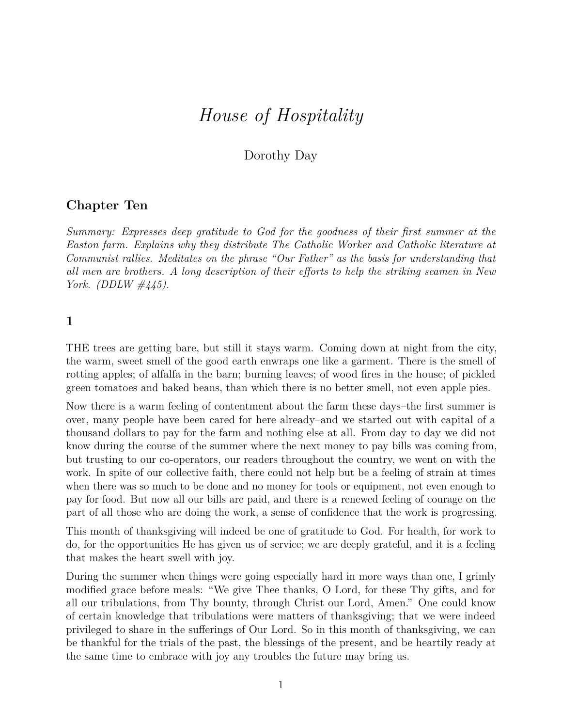# *House of Hospitality*

## Dorothy Day

#### **Chapter Ten**

*Summary: Expresses deep gratitude to God for the goodness of their first summer at the Easton farm. Explains why they distribute The Catholic Worker and Catholic literature at Communist rallies. Meditates on the phrase "Our Father" as the basis for understanding that all men are brothers. A long description of their efforts to help the striking seamen in New York. (DDLW #445).*

#### **1**

THE trees are getting bare, but still it stays warm. Coming down at night from the city, the warm, sweet smell of the good earth enwraps one like a garment. There is the smell of rotting apples; of alfalfa in the barn; burning leaves; of wood fires in the house; of pickled green tomatoes and baked beans, than which there is no better smell, not even apple pies.

Now there is a warm feeling of contentment about the farm these days–the first summer is over, many people have been cared for here already–and we started out with capital of a thousand dollars to pay for the farm and nothing else at all. From day to day we did not know during the course of the summer where the next money to pay bills was coming from, but trusting to our co-operators, our readers throughout the country, we went on with the work. In spite of our collective faith, there could not help but be a feeling of strain at times when there was so much to be done and no money for tools or equipment, not even enough to pay for food. But now all our bills are paid, and there is a renewed feeling of courage on the part of all those who are doing the work, a sense of confidence that the work is progressing.

This month of thanksgiving will indeed be one of gratitude to God. For health, for work to do, for the opportunities He has given us of service; we are deeply grateful, and it is a feeling that makes the heart swell with joy.

During the summer when things were going especially hard in more ways than one, I grimly modified grace before meals: "We give Thee thanks, O Lord, for these Thy gifts, and for all our tribulations, from Thy bounty, through Christ our Lord, Amen." One could know of certain knowledge that tribulations were matters of thanksgiving; that we were indeed privileged to share in the sufferings of Our Lord. So in this month of thanksgiving, we can be thankful for the trials of the past, the blessings of the present, and be heartily ready at the same time to embrace with joy any troubles the future may bring us.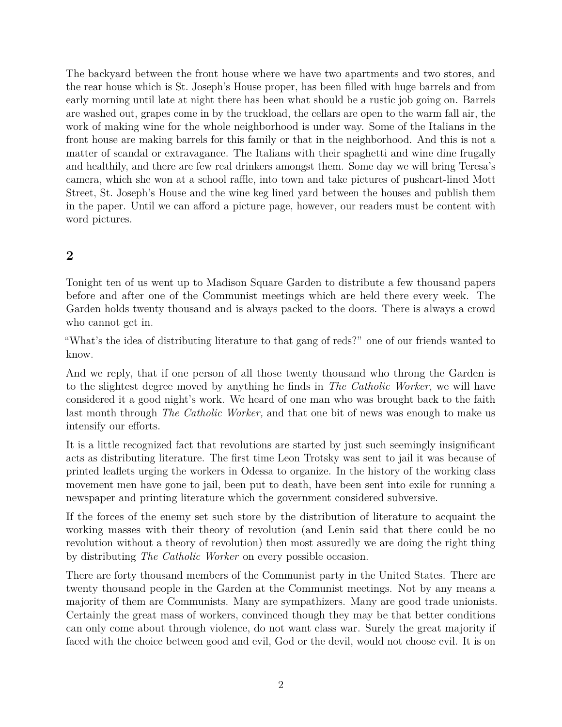The backyard between the front house where we have two apartments and two stores, and the rear house which is St. Joseph's House proper, has been filled with huge barrels and from early morning until late at night there has been what should be a rustic job going on. Barrels are washed out, grapes come in by the truckload, the cellars are open to the warm fall air, the work of making wine for the whole neighborhood is under way. Some of the Italians in the front house are making barrels for this family or that in the neighborhood. And this is not a matter of scandal or extravagance. The Italians with their spaghetti and wine dine frugally and healthily, and there are few real drinkers amongst them. Some day we will bring Teresa's camera, which she won at a school raffle, into town and take pictures of pushcart-lined Mott Street, St. Joseph's House and the wine keg lined yard between the houses and publish them in the paper. Until we can afford a picture page, however, our readers must be content with word pictures.

## **2**

Tonight ten of us went up to Madison Square Garden to distribute a few thousand papers before and after one of the Communist meetings which are held there every week. The Garden holds twenty thousand and is always packed to the doors. There is always a crowd who cannot get in.

"What's the idea of distributing literature to that gang of reds?" one of our friends wanted to know.

And we reply, that if one person of all those twenty thousand who throng the Garden is to the slightest degree moved by anything he finds in *The Catholic Worker,* we will have considered it a good night's work. We heard of one man who was brought back to the faith last month through *The Catholic Worker,* and that one bit of news was enough to make us intensify our efforts.

It is a little recognized fact that revolutions are started by just such seemingly insignificant acts as distributing literature. The first time Leon Trotsky was sent to jail it was because of printed leaflets urging the workers in Odessa to organize. In the history of the working class movement men have gone to jail, been put to death, have been sent into exile for running a newspaper and printing literature which the government considered subversive.

If the forces of the enemy set such store by the distribution of literature to acquaint the working masses with their theory of revolution (and Lenin said that there could be no revolution without a theory of revolution) then most assuredly we are doing the right thing by distributing *The Catholic Worker* on every possible occasion.

There are forty thousand members of the Communist party in the United States. There are twenty thousand people in the Garden at the Communist meetings. Not by any means a majority of them are Communists. Many are sympathizers. Many are good trade unionists. Certainly the great mass of workers, convinced though they may be that better conditions can only come about through violence, do not want class war. Surely the great majority if faced with the choice between good and evil, God or the devil, would not choose evil. It is on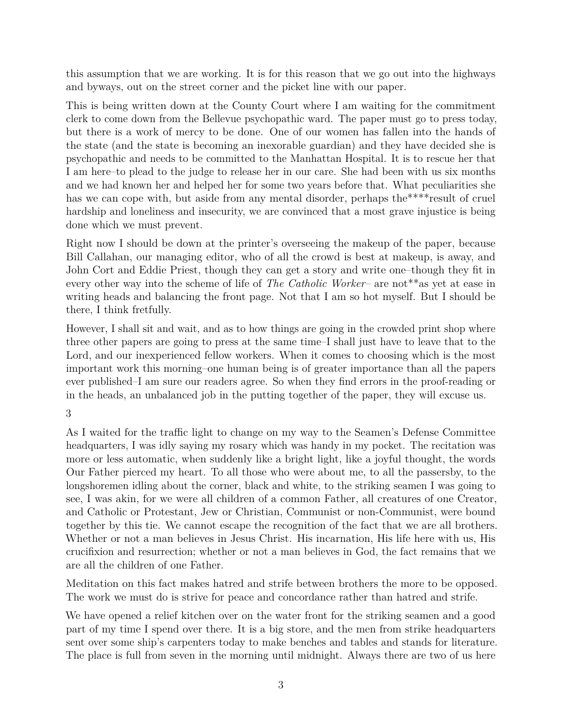this assumption that we are working. It is for this reason that we go out into the highways and byways, out on the street corner and the picket line with our paper.

This is being written down at the County Court where I am waiting for the commitment clerk to come down from the Bellevue psychopathic ward. The paper must go to press today, but there is a work of mercy to be done. One of our women has fallen into the hands of the state (and the state is becoming an inexorable guardian) and they have decided she is psychopathic and needs to be committed to the Manhattan Hospital. It is to rescue her that I am here–to plead to the judge to release her in our care. She had been with us six months and we had known her and helped her for some two years before that. What peculiarities she has we can cope with, but aside from any mental disorder, perhaps the\*\*\*\*result of cruel hardship and loneliness and insecurity, we are convinced that a most grave injustice is being done which we must prevent.

Right now I should be down at the printer's overseeing the makeup of the paper, because Bill Callahan, our managing editor, who of all the crowd is best at makeup, is away, and John Cort and Eddie Priest, though they can get a story and write one–though they fit in every other way into the scheme of life of *The Catholic Worker–* are not\*\*as yet at ease in writing heads and balancing the front page. Not that I am so hot myself. But I should be there, I think fretfully.

However, I shall sit and wait, and as to how things are going in the crowded print shop where three other papers are going to press at the same time–I shall just have to leave that to the Lord, and our inexperienced fellow workers. When it comes to choosing which is the most important work this morning–one human being is of greater importance than all the papers ever published–I am sure our readers agree. So when they find errors in the proof-reading or in the heads, an unbalanced job in the putting together of the paper, they will excuse us.

#### 3

As I waited for the traffic light to change on my way to the Seamen's Defense Committee headquarters, I was idly saying my rosary which was handy in my pocket. The recitation was more or less automatic, when suddenly like a bright light, like a joyful thought, the words Our Father pierced my heart. To all those who were about me, to all the passersby, to the longshoremen idling about the corner, black and white, to the striking seamen I was going to see, I was akin, for we were all children of a common Father, all creatures of one Creator, and Catholic or Protestant, Jew or Christian, Communist or non-Communist, were bound together by this tie. We cannot escape the recognition of the fact that we are all brothers. Whether or not a man believes in Jesus Christ. His incarnation, His life here with us, His crucifixion and resurrection; whether or not a man believes in God, the fact remains that we are all the children of one Father.

Meditation on this fact makes hatred and strife between brothers the more to be opposed. The work we must do is strive for peace and concordance rather than hatred and strife.

We have opened a relief kitchen over on the water front for the striking seamen and a good part of my time I spend over there. It is a big store, and the men from strike headquarters sent over some ship's carpenters today to make benches and tables and stands for literature. The place is full from seven in the morning until midnight. Always there are two of us here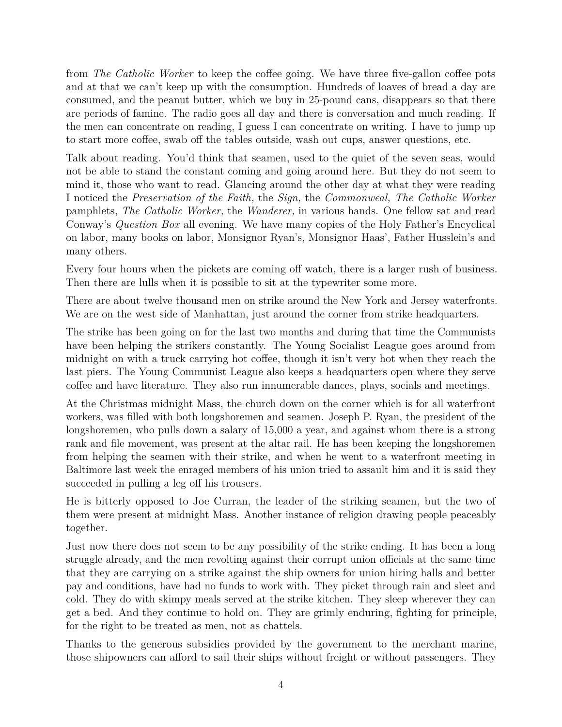from *The Catholic Worker* to keep the coffee going. We have three five-gallon coffee pots and at that we can't keep up with the consumption. Hundreds of loaves of bread a day are consumed, and the peanut butter, which we buy in 25-pound cans, disappears so that there are periods of famine. The radio goes all day and there is conversation and much reading. If the men can concentrate on reading, I guess I can concentrate on writing. I have to jump up to start more coffee, swab off the tables outside, wash out cups, answer questions, etc.

Talk about reading. You'd think that seamen, used to the quiet of the seven seas, would not be able to stand the constant coming and going around here. But they do not seem to mind it, those who want to read. Glancing around the other day at what they were reading I noticed the *Preservation of the Faith,* the *Sign,* the *Commonweal, The Catholic Worker* pamphlets, *The Catholic Worker,* the *Wanderer,* in various hands. One fellow sat and read Conway's *Question Box* all evening. We have many copies of the Holy Father's Encyclical on labor, many books on labor, Monsignor Ryan's, Monsignor Haas', Father Husslein's and many others.

Every four hours when the pickets are coming off watch, there is a larger rush of business. Then there are lulls when it is possible to sit at the typewriter some more.

There are about twelve thousand men on strike around the New York and Jersey waterfronts. We are on the west side of Manhattan, just around the corner from strike headquarters.

The strike has been going on for the last two months and during that time the Communists have been helping the strikers constantly. The Young Socialist League goes around from midnight on with a truck carrying hot coffee, though it isn't very hot when they reach the last piers. The Young Communist League also keeps a headquarters open where they serve coffee and have literature. They also run innumerable dances, plays, socials and meetings.

At the Christmas midnight Mass, the church down on the corner which is for all waterfront workers, was filled with both longshoremen and seamen. Joseph P. Ryan, the president of the longshoremen, who pulls down a salary of 15,000 a year, and against whom there is a strong rank and file movement, was present at the altar rail. He has been keeping the longshoremen from helping the seamen with their strike, and when he went to a waterfront meeting in Baltimore last week the enraged members of his union tried to assault him and it is said they succeeded in pulling a leg off his trousers.

He is bitterly opposed to Joe Curran, the leader of the striking seamen, but the two of them were present at midnight Mass. Another instance of religion drawing people peaceably together.

Just now there does not seem to be any possibility of the strike ending. It has been a long struggle already, and the men revolting against their corrupt union officials at the same time that they are carrying on a strike against the ship owners for union hiring halls and better pay and conditions, have had no funds to work with. They picket through rain and sleet and cold. They do with skimpy meals served at the strike kitchen. They sleep wherever they can get a bed. And they continue to hold on. They are grimly enduring, fighting for principle, for the right to be treated as men, not as chattels.

Thanks to the generous subsidies provided by the government to the merchant marine, those shipowners can afford to sail their ships without freight or without passengers. They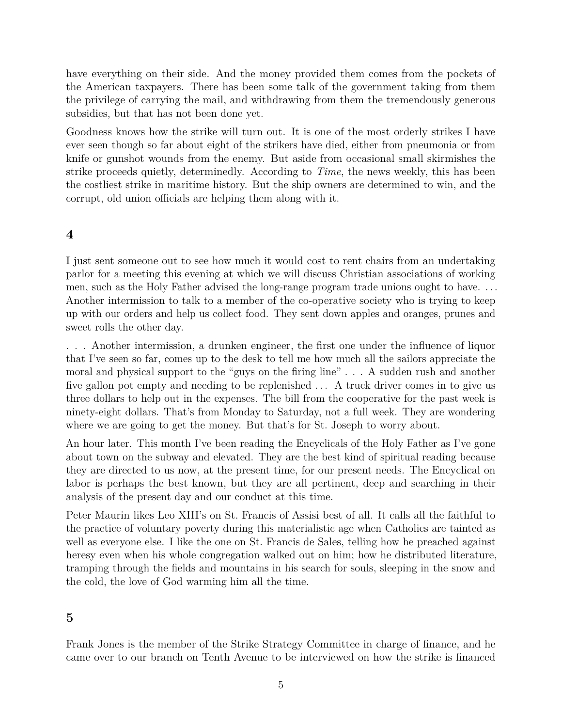have everything on their side. And the money provided them comes from the pockets of the American taxpayers. There has been some talk of the government taking from them the privilege of carrying the mail, and withdrawing from them the tremendously generous subsidies, but that has not been done yet.

Goodness knows how the strike will turn out. It is one of the most orderly strikes I have ever seen though so far about eight of the strikers have died, either from pneumonia or from knife or gunshot wounds from the enemy. But aside from occasional small skirmishes the strike proceeds quietly, determinedly. According to *Time*, the news weekly, this has been the costliest strike in maritime history. But the ship owners are determined to win, and the corrupt, old union officials are helping them along with it.

### **4**

I just sent someone out to see how much it would cost to rent chairs from an undertaking parlor for a meeting this evening at which we will discuss Christian associations of working men, such as the Holy Father advised the long-range program trade unions ought to have. . . . Another intermission to talk to a member of the co-operative society who is trying to keep up with our orders and help us collect food. They sent down apples and oranges, prunes and sweet rolls the other day.

. . . Another intermission, a drunken engineer, the first one under the influence of liquor that I've seen so far, comes up to the desk to tell me how much all the sailors appreciate the moral and physical support to the "guys on the firing line" . . . A sudden rush and another five gallon pot empty and needing to be replenished . . . A truck driver comes in to give us three dollars to help out in the expenses. The bill from the cooperative for the past week is ninety-eight dollars. That's from Monday to Saturday, not a full week. They are wondering where we are going to get the money. But that's for St. Joseph to worry about.

An hour later. This month I've been reading the Encyclicals of the Holy Father as I've gone about town on the subway and elevated. They are the best kind of spiritual reading because they are directed to us now, at the present time, for our present needs. The Encyclical on labor is perhaps the best known, but they are all pertinent, deep and searching in their analysis of the present day and our conduct at this time.

Peter Maurin likes Leo XIII's on St. Francis of Assisi best of all. It calls all the faithful to the practice of voluntary poverty during this materialistic age when Catholics are tainted as well as everyone else. I like the one on St. Francis de Sales, telling how he preached against heresy even when his whole congregation walked out on him; how he distributed literature, tramping through the fields and mountains in his search for souls, sleeping in the snow and the cold, the love of God warming him all the time.

## **5**

Frank Jones is the member of the Strike Strategy Committee in charge of finance, and he came over to our branch on Tenth Avenue to be interviewed on how the strike is financed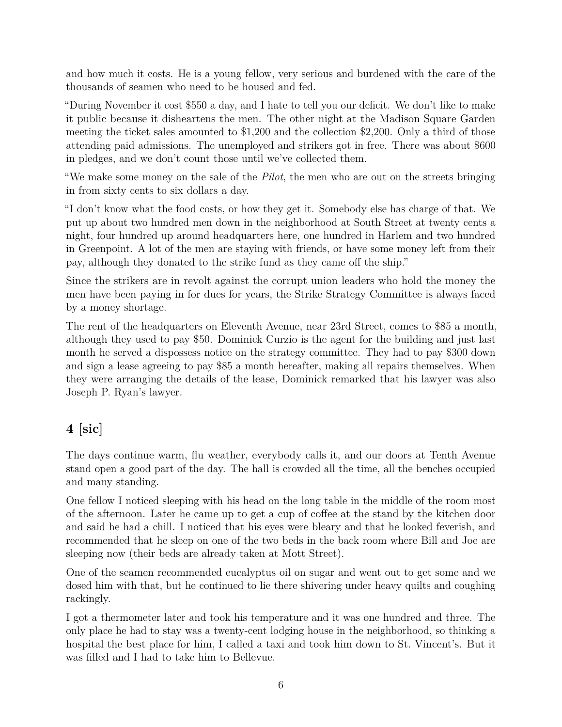and how much it costs. He is a young fellow, very serious and burdened with the care of the thousands of seamen who need to be housed and fed.

"During November it cost \$550 a day, and I hate to tell you our deficit. We don't like to make it public because it disheartens the men. The other night at the Madison Square Garden meeting the ticket sales amounted to \$1,200 and the collection \$2,200. Only a third of those attending paid admissions. The unemployed and strikers got in free. There was about \$600 in pledges, and we don't count those until we've collected them.

"We make some money on the sale of the *Pilot*, the men who are out on the streets bringing in from sixty cents to six dollars a day.

"I don't know what the food costs, or how they get it. Somebody else has charge of that. We put up about two hundred men down in the neighborhood at South Street at twenty cents a night, four hundred up around headquarters here, one hundred in Harlem and two hundred in Greenpoint. A lot of the men are staying with friends, or have some money left from their pay, although they donated to the strike fund as they came off the ship."

Since the strikers are in revolt against the corrupt union leaders who hold the money the men have been paying in for dues for years, the Strike Strategy Committee is always faced by a money shortage.

The rent of the headquarters on Eleventh Avenue, near 23rd Street, comes to \$85 a month, although they used to pay \$50. Dominick Curzio is the agent for the building and just last month he served a dispossess notice on the strategy committee. They had to pay \$300 down and sign a lease agreeing to pay \$85 a month hereafter, making all repairs themselves. When they were arranging the details of the lease, Dominick remarked that his lawyer was also Joseph P. Ryan's lawyer.

## **4 [sic]**

The days continue warm, flu weather, everybody calls it, and our doors at Tenth Avenue stand open a good part of the day. The hall is crowded all the time, all the benches occupied and many standing.

One fellow I noticed sleeping with his head on the long table in the middle of the room most of the afternoon. Later he came up to get a cup of coffee at the stand by the kitchen door and said he had a chill. I noticed that his eyes were bleary and that he looked feverish, and recommended that he sleep on one of the two beds in the back room where Bill and Joe are sleeping now (their beds are already taken at Mott Street).

One of the seamen recommended eucalyptus oil on sugar and went out to get some and we dosed him with that, but he continued to lie there shivering under heavy quilts and coughing rackingly.

I got a thermometer later and took his temperature and it was one hundred and three. The only place he had to stay was a twenty-cent lodging house in the neighborhood, so thinking a hospital the best place for him, I called a taxi and took him down to St. Vincent's. But it was filled and I had to take him to Bellevue.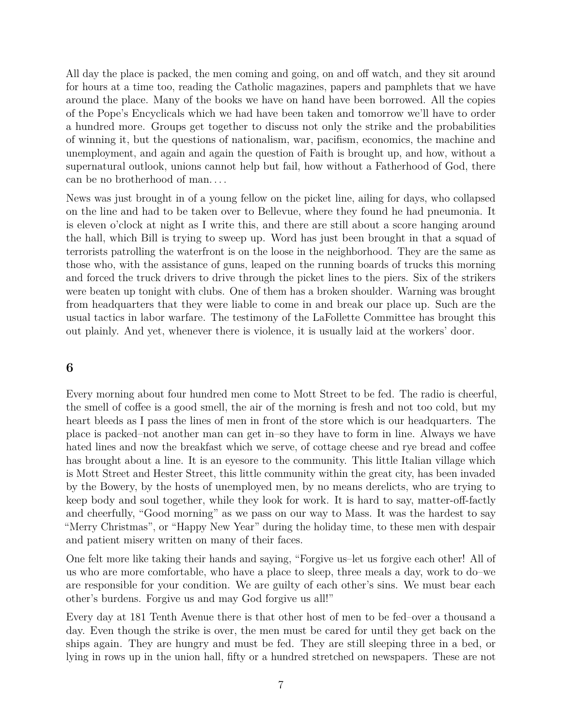All day the place is packed, the men coming and going, on and off watch, and they sit around for hours at a time too, reading the Catholic magazines, papers and pamphlets that we have around the place. Many of the books we have on hand have been borrowed. All the copies of the Pope's Encyclicals which we had have been taken and tomorrow we'll have to order a hundred more. Groups get together to discuss not only the strike and the probabilities of winning it, but the questions of nationalism, war, pacifism, economics, the machine and unemployment, and again and again the question of Faith is brought up, and how, without a supernatural outlook, unions cannot help but fail, how without a Fatherhood of God, there can be no brotherhood of man. . . .

News was just brought in of a young fellow on the picket line, ailing for days, who collapsed on the line and had to be taken over to Bellevue, where they found he had pneumonia. It is eleven o'clock at night as I write this, and there are still about a score hanging around the hall, which Bill is trying to sweep up. Word has just been brought in that a squad of terrorists patrolling the waterfront is on the loose in the neighborhood. They are the same as those who, with the assistance of guns, leaped on the running boards of trucks this morning and forced the truck drivers to drive through the picket lines to the piers. Six of the strikers were beaten up tonight with clubs. One of them has a broken shoulder. Warning was brought from headquarters that they were liable to come in and break our place up. Such are the usual tactics in labor warfare. The testimony of the LaFollette Committee has brought this out plainly. And yet, whenever there is violence, it is usually laid at the workers' door.

#### **6**

Every morning about four hundred men come to Mott Street to be fed. The radio is cheerful, the smell of coffee is a good smell, the air of the morning is fresh and not too cold, but my heart bleeds as I pass the lines of men in front of the store which is our headquarters. The place is packed–not another man can get in–so they have to form in line. Always we have hated lines and now the breakfast which we serve, of cottage cheese and rye bread and coffee has brought about a line. It is an eyesore to the community. This little Italian village which is Mott Street and Hester Street, this little community within the great city, has been invaded by the Bowery, by the hosts of unemployed men, by no means derelicts, who are trying to keep body and soul together, while they look for work. It is hard to say, matter-off-factly and cheerfully, "Good morning" as we pass on our way to Mass. It was the hardest to say "Merry Christmas", or "Happy New Year" during the holiday time, to these men with despair and patient misery written on many of their faces.

One felt more like taking their hands and saying, "Forgive us–let us forgive each other! All of us who are more comfortable, who have a place to sleep, three meals a day, work to do–we are responsible for your condition. We are guilty of each other's sins. We must bear each other's burdens. Forgive us and may God forgive us all!"

Every day at 181 Tenth Avenue there is that other host of men to be fed–over a thousand a day. Even though the strike is over, the men must be cared for until they get back on the ships again. They are hungry and must be fed. They are still sleeping three in a bed, or lying in rows up in the union hall, fifty or a hundred stretched on newspapers. These are not